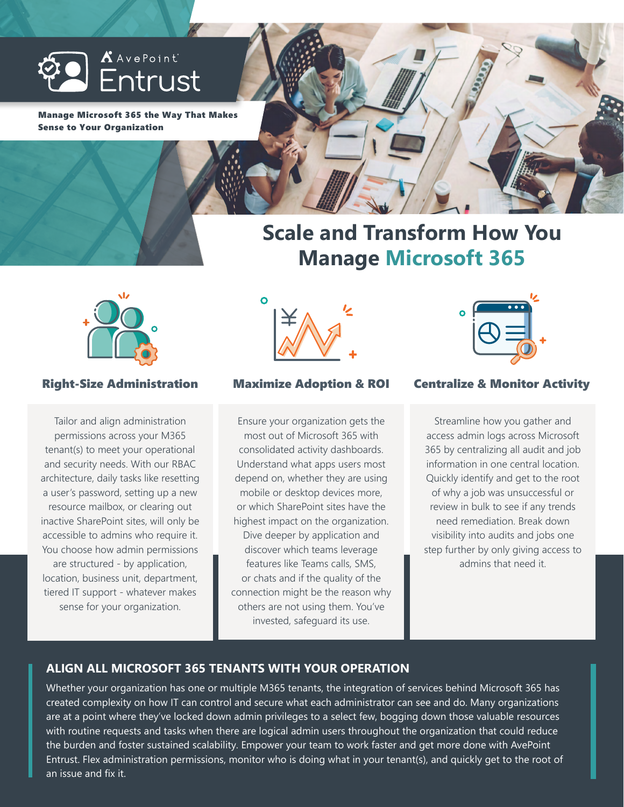

Manage Microsoft 365 the Way That Makes Sense to Your Organization



# **Scale and Transform How You Manage Microsoft 365**



Tailor and align administration permissions across your M365 tenant(s) to meet your operational and security needs. With our RBAC architecture, daily tasks like resetting a user's password, setting up a new resource mailbox, or clearing out inactive SharePoint sites, will only be accessible to admins who require it. You choose how admin permissions are structured - by application, location, business unit, department, tiered IT support - whatever makes sense for your organization.



Ensure your organization gets the most out of Microsoft 365 with consolidated activity dashboards. Understand what apps users most depend on, whether they are using mobile or desktop devices more, or which SharePoint sites have the highest impact on the organization. Dive deeper by application and discover which teams leverage features like Teams calls, SMS, or chats and if the quality of the connection might be the reason why others are not using them. You've invested, safeguard its use.



# Right-Size Administration Maximize Adoption & ROI Centralize & Monitor Activity

Streamline how you gather and access admin logs across Microsoft 365 by centralizing all audit and job information in one central location. Quickly identify and get to the root of why a job was unsuccessful or review in bulk to see if any trends need remediation. Break down visibility into audits and jobs one step further by only giving access to admins that need it.

# **ALIGN ALL MICROSOFT 365 TENANTS WITH YOUR OPERATION**

Whether your organization has one or multiple M365 tenants, the integration of services behind Microsoft 365 has created complexity on how IT can control and secure what each administrator can see and do. Many organizations are at a point where they've locked down admin privileges to a select few, bogging down those valuable resources with routine requests and tasks when there are logical admin users throughout the organization that could reduce the burden and foster sustained scalability. Empower your team to work faster and get more done with AvePoint Entrust. Flex administration permissions, monitor who is doing what in your tenant(s), and quickly get to the root of an issue and fix it.